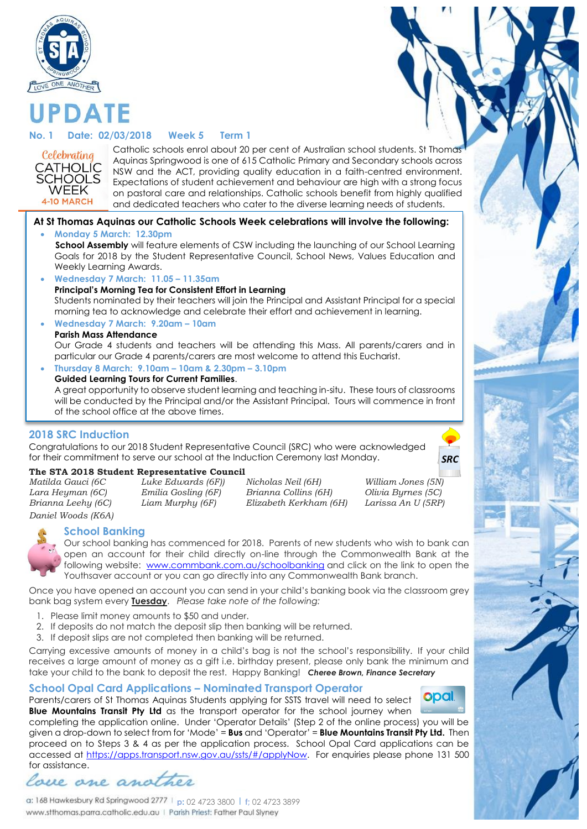

# **No. 1 Date: 02/03/2018 Week 5 Term 1**

DATF



Catholic schools enrol about 20 per cent of Australian school students. St Thomas Aquinas Springwood is one of 615 Catholic Primary and Secondary schools across NSW and the ACT, providing quality education in a faith-centred environment. Expectations of student achievement and behaviour are high with a strong focus on pastoral care and relationships. Catholic schools benefit from highly qualified and dedicated teachers who cater to the diverse learning needs of students.

#### **At St Thomas Aquinas our Catholic Schools Week celebrations will involve the following:**

#### **Monday 5 March: 12.30pm**

**School Assembly** will feature elements of CSW including the launching of our School Learning Goals for 2018 by the Student Representative Council, School News, Values Education and Weekly Learning Awards.

- **Wednesday 7 March: 11.05 – 11.35am**
- **Principal's Morning Tea for Consistent Effort in Learning**

Students nominated by their teachers will join the Principal and Assistant Principal for a special morning tea to acknowledge and celebrate their effort and achievement in learning.

**Wednesday 7 March: 9.20am – 10am**

#### **Parish Mass Attendance**

Our Grade 4 students and teachers will be attending this Mass. All parents/carers and in particular our Grade 4 parents/carers are most welcome to attend this Eucharist.

 **Thursday 8 March: 9.10am – 10am & 2.30pm – 3.10pm Guided Learning Tours for Current Families**.

A great opportunity to observe student learning and teaching in-situ. These tours of classrooms will be conducted by the Principal and/or the Assistant Principal. Tours will commence in front of the school office at the above times.

#### **2018 SRC Induction**

Congratulations to our 2018 Student Representative Council (SRC) who were acknowledged for their commitment to serve our school at the Induction Ceremony last Monday.

#### **The STA 2018 Student Representative Council**

*Daniel Woods (K6A)*

*Matilda Gauci (6C Luke Edwards (6F)) Nicholas Neil (6H) William Jones (5N) Lara Heyman (6C) Emilia Gosling (6F) Brianna Collins (6H) Olivia Byrnes (5C) Brianna Leehy (6C) Liam Murphy (6F) Elizabeth Kerkham (6H) Larissa An U (5RP)* 



*SRC*

#### **School Banking**



Our school banking has commenced for 2018. Parents of new students who wish to bank can open an account for their child directly on-line through the Commonwealth Bank at the following website: [www.commbank.com.au/schoolbanking](http://www.commbank.com.au/schoolbanking) and click on the link to open the Youthsaver account or you can go directly into any Commonwealth Bank branch.

Once you have opened an account you can send in your child's banking book via the classroom grey bank bag system every **Tuesday**. *Please take note of the following:*

- 1. Please limit money amounts to \$50 and under.
- 2. If deposits do not match the deposit slip then banking will be returned.
- 3. If deposit slips are not completed then banking will be returned.

Carrying excessive amounts of money in a child's bag is not the school's responsibility. If your child receives a large amount of money as a gift i.e. birthday present, please only bank the minimum and take your child to the bank to deposit the rest. Happy Banking! *Cheree Brown, Finance Secretary*

#### **School Opal Card Applications – Nominated Transport Operator**

Parents/carers of St Thomas Aquinas Students applying for SSTS travel will need to select **Blue Mountains Transit Pty Ltd** as the transport operator for the school journey when



completing the application online. Under 'Operator Details' (Step 2 of the online process) you will be given a drop-down to select from for 'Mode' = **Bus** and 'Operator' = **Blue Mountains Transit Pty Ltd.** Then proceed on to Steps 3 & 4 as per the application process. School Opal Card applications can be accessed at [https://apps.transport.nsw.gov.au/ssts/#/applyNow.](https://apps.transport.nsw.gov.au/ssts/#/applyNow) For enquiries please phone 131 500 for assistance.

love one anoth

**p:** 02 4723 3800 l **f;** 02 4723 3899 www.stthomas.parra.catholic.edu.au | Parish Priest: Father Paul Slyney